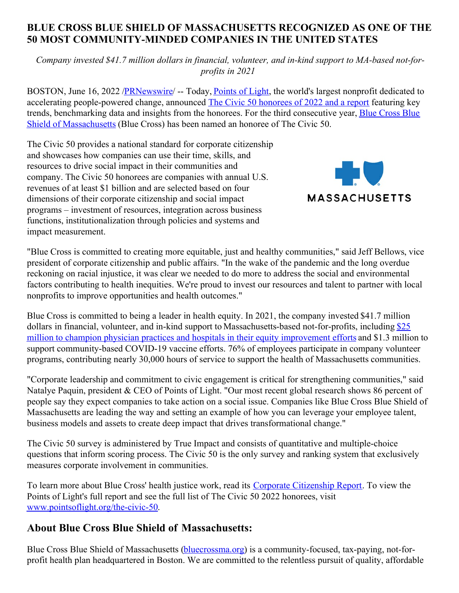## **BLUE CROSS BLUE SHIELD OF MASSACHUSETTS RECOGNIZED AS ONE OF THE 50 MOST COMMUNITY-MINDED COMPANIES IN THE UNITED STATES**

*Company invested \$41.7 million dollars in financial, volunteer, and in-kind support to MA-based not-forprofits in 2021*

BOSTON, June 16, 2022 [/PRNewswire](http://www.prnewswire.com/)/ -- Today, [Points](https://c212.net/c/link/?t=0&l=en&o=3568723-1&h=3684146160&u=https%3A%2F%2Fwww.pointsoflight.org%2F&a=Points+of+Light) of Light, the world's largest nonprofit dedicated to accelerating people-powered change, announced The Civic 50 [honorees](https://c212.net/c/link/?t=0&l=en&o=3568723-1&h=241101438&u=https%3A%2F%2Fwww.pointsoflight.org%2Fthe-civic-50-report%2F&a=The+Civic+50+honorees+of+2022+and+a+report) of 2022 and a report featuring key trends, [benchmarking](https://c212.net/c/link/?t=0&l=en&o=3568723-1&h=2549605576&u=http%3A%2F%2Fwww.bluecrossma.org%2F&a=Blue+Cross+Blue+Shield+of+Massachusetts) data and insights from the honorees. For the third consecutive year, Blue Cross Blue Shield of Massachusetts (Blue Cross) has been named an honoree of The Civic 50.

The Civic 50 provides a national standard for corporate citizenship and showcases how companies can use their time, skills, and resources to drive social impact in their communities and company. The Civic 50 honorees are companies with annual U.S. revenues of at least \$1 billion and are selected based on four dimensions of their corporate citizenship and social impact programs – investment of resources, integration across business functions, institutionalization through policies and systems and impact measurement.



"Blue Cross is committed to creating more equitable, just and healthy communities," said Jeff Bellows, vice president of corporate citizenship and public affairs. "In the wake of the pandemic and the long overdue reckoning on racial injustice, it was clear we needed to do more to address the social and environmental factors contributing to health inequities. We're proud to invest our resources and talent to partner with local nonprofits to improve opportunities and health outcomes."

Blue Cross is committed to being a leader in health equity. In 2021, the company invested \$41.7 million dollars in financial, volunteer, and in-kind support to [Massachusetts-based](https://c212.net/c/link/?t=0&l=en&o=3568723-1&h=4182172565&u=https%3A%2F%2Fnewsroom.bluecrossma.com%2F2021-12-02-Blue-Cross-Blue-Shield-of-Massachusetts-Contributes-25-Million-To-Help-Local-Health-Care-Organizations-Address-Racial-And-Ethnic-Inequities-In-Patient-Care&a=%2425+million+to+champion+physician+practices+and+hospitals+in+their+equity+improvement+efforts) not-for-profits, including \$25 million to champion physician practices and hospitals in their equity improvement efforts and \$1.3 million to support community-based COVID-19 vaccine efforts. 76% of employees participate in company volunteer programs, contributing nearly 30,000 hours of service to support the health of Massachusetts communities.

"Corporate leadership and commitment to civic engagement is critical for strengthening communities," said Natalye Paquin, president & CEO of Points of Light. "Our most recent global research shows 86 percent of people say they expect companies to take action on a social issue. Companies like Blue Cross Blue Shield of Massachusetts are leading the way and setting an example of how you can leverage your employee talent, business models and assets to create deep impact that drives transformational change."

The Civic 50 survey is administered by True Impact and consists of quantitative and multiple-choice questions that inform scoring process. The Civic 50 is the only survey and ranking system that exclusively measures corporate involvement in communities.

To learn more about Blue Cross' health justice work, read its Corporate [Citizenship](https://c212.net/c/link/?t=0&l=en&o=3568723-1&h=1259456676&u=https%3A%2F%2Fwww.bluecrossma.org%2Fsites%2Fg%2Ffiles%2Fcsphws1866%2Ffiles%2Facquiadam-assets%2F2021-Corporate-Citizenship-Report.pdf&a=Corporate+Citizenship+Report) Report. To view the Points of Light's full report and see the full list of The Civic 50 2022 honorees, visit [www.pointsoflight.org/the-civic-50](https://c212.net/c/link/?t=0&l=en&o=3568723-1&h=3968982210&u=https%3A%2F%2Fwww.pointsoflight.org%2Fthe-civic-50%2F&a=www.pointsoflight.org%2Fthe-civic-50).

## **About Blue Cross Blue Shield of Massachusetts:**

Blue Cross Blue Shield of Massachusetts [\(bluecrossma.org](https://c212.net/c/link/?t=0&l=en&o=3568723-1&h=3410745204&u=https%3A%2F%2Fc212.net%2Fc%2Flink%2F%3Ft%3D0%26l%3Den%26o%3D3001617-1%26h%3D2897828333%26u%3Dhttps%253A%252F%252Fc212.net%252Fc%252Flink%252F%253Ft%253D0%2526l%253Den%2526o%253D2840663-1%2526h%253D3724038522%2526u%253Dhttp%25253A%25252F%25252Fwww.bluecrossma.com%25252F%2526a%253Dbluecrossma.com%26a%3Dbluecrossma.org&a=bluecrossma.org)) is a community-focused, tax-paying, not-forprofit health plan headquartered in Boston. We are committed to the relentless pursuit of quality, affordable